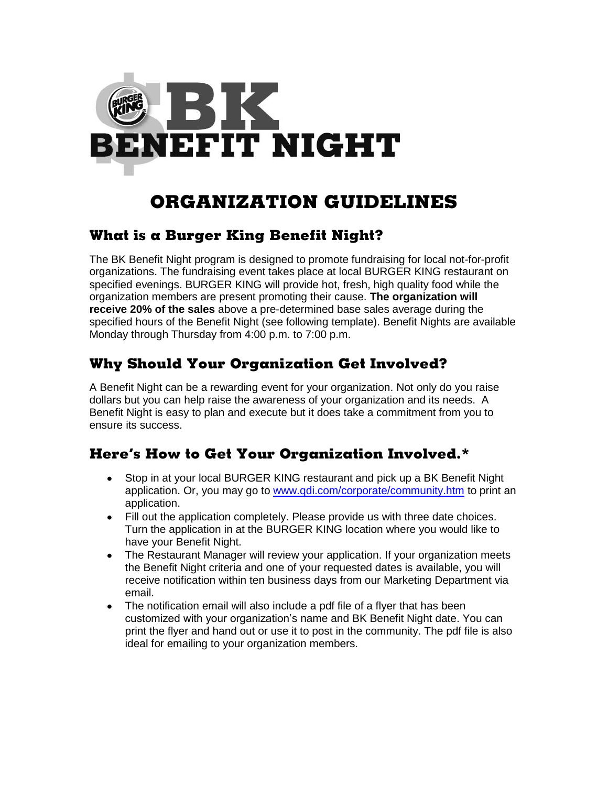

# **ORGANIZATION GUIDELINES**

#### **What is a Burger King Benefit Night?**

The BK Benefit Night program is designed to promote fundraising for local not-for-profit organizations. The fundraising event takes place at local BURGER KING restaurant on specified evenings. BURGER KING will provide hot, fresh, high quality food while the organization members are present promoting their cause. **The organization will receive 20% of the sales** above a pre-determined base sales average during the specified hours of the Benefit Night (see following template). Benefit Nights are available Monday through Thursday from 4:00 p.m. to 7:00 p.m.

### **Why Should Your Organization Get Involved?**

A Benefit Night can be a rewarding event for your organization. Not only do you raise dollars but you can help raise the awareness of your organization and its needs. A Benefit Night is easy to plan and execute but it does take a commitment from you to ensure its success.

### **Here's How to Get Your Organization Involved.\***

- Stop in at your local BURGER KING restaurant and pick up a BK Benefit Night application. Or, you may go to [www.qdi.com/corporate/community.htm](http://www.qdi.com/corporate/community.htm) to print an application.
- Fill out the application completely. Please provide us with three date choices. Turn the application in at the BURGER KING location where you would like to have your Benefit Night.
- The Restaurant Manager will review your application. If your organization meets the Benefit Night criteria and one of your requested dates is available, you will receive notification within ten business days from our Marketing Department via email.
- The notification email will also include a pdf file of a flyer that has been customized with your organization's name and BK Benefit Night date. You can print the flyer and hand out or use it to post in the community. The pdf file is also ideal for emailing to your organization members.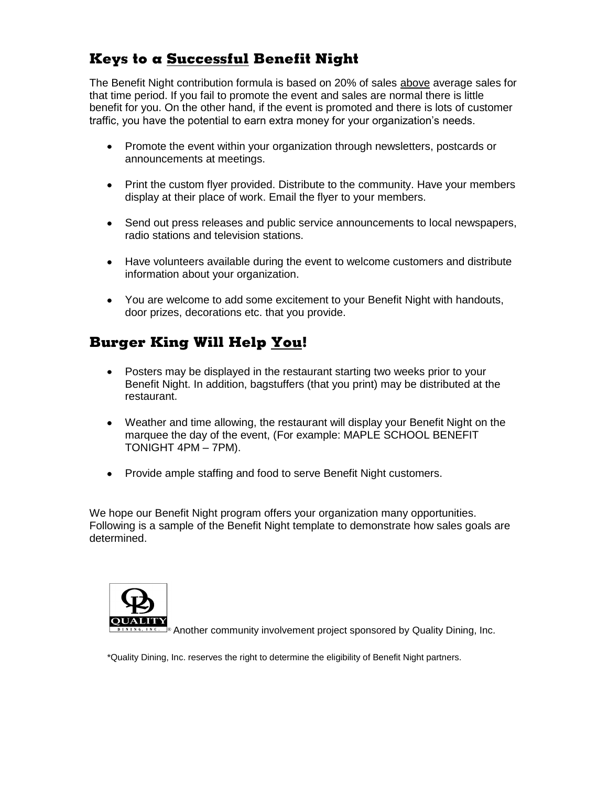### **Keys to a Successful Benefit Night**

The Benefit Night contribution formula is based on 20% of sales above average sales for that time period. If you fail to promote the event and sales are normal there is little benefit for you. On the other hand, if the event is promoted and there is lots of customer traffic, you have the potential to earn extra money for your organization's needs.

- Promote the event within your organization through newsletters, postcards or announcements at meetings.
- Print the custom flyer provided. Distribute to the community. Have your members display at their place of work. Email the flyer to your members.
- Send out press releases and public service announcements to local newspapers, radio stations and television stations.
- Have volunteers available during the event to welcome customers and distribute information about your organization.
- You are welcome to add some excitement to your Benefit Night with handouts, door prizes, decorations etc. that you provide.

## **Burger King Will Help You!**

- Posters may be displayed in the restaurant starting two weeks prior to your Benefit Night. In addition, bagstuffers (that you print) may be distributed at the restaurant.
- Weather and time allowing, the restaurant will display your Benefit Night on the marquee the day of the event, (For example: MAPLE SCHOOL BENEFIT TONIGHT 4PM – 7PM).
- Provide ample staffing and food to serve Benefit Night customers.

We hope our Benefit Night program offers your organization many opportunities. Following is a sample of the Benefit Night template to demonstrate how sales goals are determined.



Another community involvement project sponsored by Quality Dining, Inc. ®

\*Quality Dining, Inc. reserves the right to determine the eligibility of Benefit Night partners.